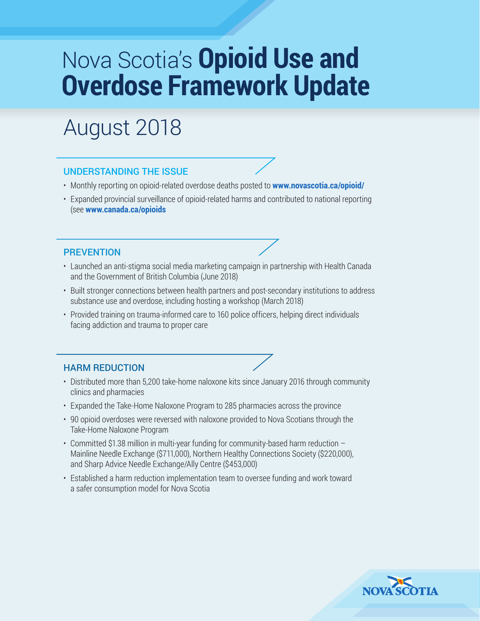# Nova Scotia's **Opioid Use and Overdose Framework Update**

# August 2018

#### UNDERSTANDING THE ISSUE

- Monthly reporting on opioid-related overdose deaths posted to **www.novascotia.ca/opioid/**
- Expanded provincial surveillance of opioid-related harms and contributed to national reporting (see **www.canada.ca/opioids**

#### PREVENTION

- Launched an anti-stigma social media marketing campaign in partnership with Health Canada and the Government of British Columbia (June 2018)
- Built stronger connections between health partners and post-secondary institutions to address substance use and overdose, including hosting a workshop (March 2018)
- Provided training on trauma-informed care to 160 police officers, helping direct individuals facing addiction and trauma to proper care

#### HARM REDUCTION

- Distributed more than 5,200 take-home naloxone kits since January 2016 through community clinics and pharmacies
- Expanded the Take-Home Naloxone Program to 285 pharmacies across the province
- 90 opioid overdoses were reversed with naloxone provided to Nova Scotians through the Take-Home Naloxone Program
- Committed \$1.38 million in multi-year funding for community-based harm reduction Mainline Needle Exchange (\$711,000), Northern Healthy Connections Society (\$220,000), and Sharp Advice Needle Exchange/Ally Centre (\$453,000)
- Established a harm reduction implementation team to oversee funding and work toward a safer consumption model for Nova Scotia